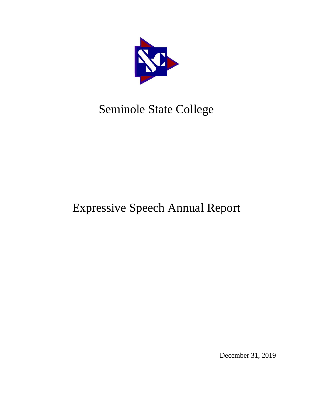

# Seminole State College

# Expressive Speech Annual Report

December 31, 2019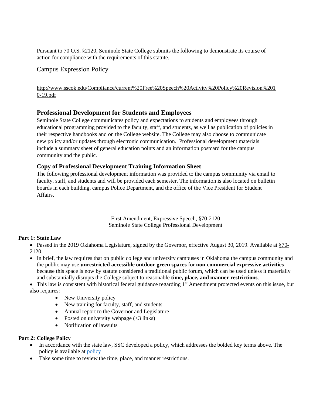Pursuant to 70 O.S. §2120, Seminole State College submits the following to demonstrate its course of action for compliance with the requirements of this statute.

### Campus Expression Policy

[http://www.sscok.edu/Compliance/current%20Free%20Speech%20Activity%20Policy%20Revision%201](http://www.sscok.edu/Compliance/current%20Free%20Speech%20Activity%20Policy%20Revision%2010-19.pdf) [0-19.pdf](http://www.sscok.edu/Compliance/current%20Free%20Speech%20Activity%20Policy%20Revision%2010-19.pdf)

### **Professional Development for Students and Employees**

Seminole State College communicates policy and expectations to students and employees through educational programming provided to the faculty, staff, and students, as well as publication of policies in their respective handbooks and on the College website. The College may also choose to communicate new policy and/or updates through electronic communication. Professional development materials include a summary sheet of general education points and an information postcard for the campus community and the public.

#### **Copy of Professional Development Training Information Sheet**

The following professional development information was provided to the campus community via email to faculty, staff, and students and will be provided each semester. The information is also located on bulletin boards in each building, campus Police Department, and the office of the Vice President for Student Affairs.

> First Amendment, Expressive Speech, §70-2120 Seminole State College Professional Development

#### **Part 1: State Law**

• Passed in the 2019 Oklahoma Legislature, signed by the Governor, effective August 30, 2019. Available at [§70-](http://webserver1.lsb.state.ok.us/cf_pdf/2019-20%20ENR/SB/SB361%20ENR.PDF) [2120.](http://webserver1.lsb.state.ok.us/cf_pdf/2019-20%20ENR/SB/SB361%20ENR.PDF)

• In brief, the law requires that on public college and university campuses in Oklahoma the campus community and the public may use **unrestricted accessible outdoor green spaces** for **non-commercial expressive activities** because this space is now by statute considered a traditional public forum, which can be used unless it materially and substantially disrupts the College subject to reasonable **time, place, and manner restrictions**.

 $\bullet$  This law is consistent with historical federal guidance regarding 1<sup>st</sup> Amendment protected events on this issue, but also requires:

- New University policy
- New training for faculty, staff, and students
- Annual report to the Governor and Legislature
- Posted on university webpage  $\langle$  <3 links)
- Notification of lawsuits

#### **Part 2: College Policy**

- In accordance with the state law, SSC developed a policy, which addresses the bolded key terms above. The policy is available at [policy](http://www.sscok.edu/Compliance/current%20Free%20Speech%20Activity%20Policy%20Revision%2010-19.pdf)
- Take some time to review the time, place, and manner restrictions.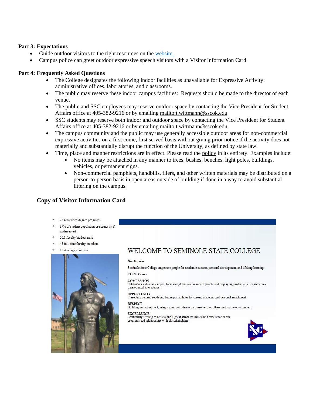#### **Part 3: Expectations**

- Guide outdoor visitors to the right resources on the [website.](http://www.sscok.edu/Compliance/current%20Free%20Speech%20Activity%20Policy%20Revision%2010-19.pdf)
- Campus police can greet outdoor expressive speech visitors with a Visitor Information Card.

#### **Part 4: Frequently Asked Questions**

- The College designates the following indoor facilities as unavailable for Expressive Activity: administrative offices, laboratories, and classrooms.
- The public may reserve these indoor campus facilities: Requests should be made to the director of each venue.
- The public and SSC employees may reserve outdoor space by contacting the Vice President for Student Affairs office at 405-382-9216 or by emailing<mailto:t.wittmann@sscok.edu>
- SSC students may reserve both indoor and outdoor space by contacting the Vice President for Student Affairs office at 405-382-9216 or by emailing<mailto:t.wittmann@sscok.edu>
- The campus community and the public may use generally accessible outdoor areas for non-commercial expressive activities on a first come, first served basis without giving prior notice if the activity does not materially and substantially disrupt the function of the University, as defined by state law.
- Time, place and manner restrictions are in effect. Please read the [policy](http://www.sscok.edu/Compliance/current%20Free%20Speech%20Activity%20Policy%20Revision%2010-19.pdf) in its entirety. Examples include:
	- No items may be attached in any manner to trees, bushes, benches, light poles, buildings, vehicles, or permanent signs.
		- Non-commercial pamphlets, handbills, fliers, and other written materials may be distributed on a person-to-person basis in open areas outside of building if done in a way to avoid substantial littering on the campus.

#### **Copy of Visitor Information Card**



- \* 39% of student population are minority & underserved
- 20:1 faculty/student ratio
- \* 43 full-time faculty members





# WELCOME TO SEMINOLE STATE COLLEGE

#### Our Mission

Seminole State College empowers people for academic success, personal development, and lifelong learning. **CORE Values** 

#### **COMPASSION**

Covar Associated<br>Celebrating a diverse campus, local and global community of people and displaying professionalism and compassion in all interactions.

#### **OPPORTUNITY**

Presenting current trends and future possibilities for career, academic and personal enrichment.

**RESPECT** Building mutual respect, integrity and confidence for ourselves, for others and for the environment.

#### **EXCELLENCE**

EXCRETION of achieve the highest standards and exhibit excellence in our programs and relationships with all stakeholders